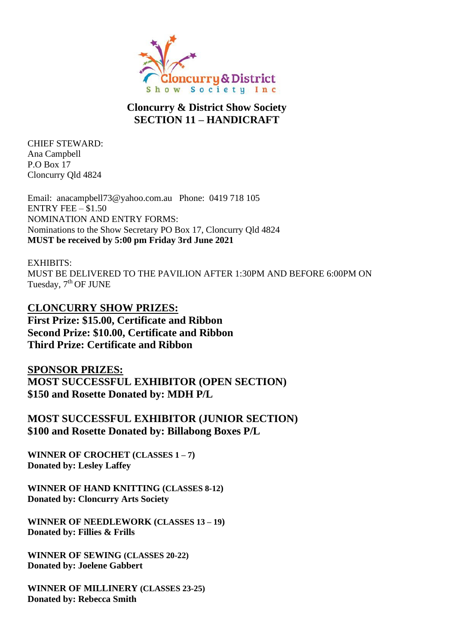

#### **Cloncurry & District Show Society SECTION 11 – HANDICRAFT**

CHIEF STEWARD: Ana Campbell P.O Box 17 Cloncurry Qld 4824

Email: anacampbell73@yahoo.com.au Phone: 0419 718 105 ENTRY FEE  $-$  \$1.50 NOMINATION AND ENTRY FORMS: Nominations to the Show Secretary PO Box 17, Cloncurry Qld 4824 **MUST be received by 5:00 pm Friday 3rd June 2021**

EXHIBITS: MUST BE DELIVERED TO THE PAVILION AFTER 1:30PM AND BEFORE 6:00PM ON Tuesday, 7<sup>th</sup> OF JUNE

**CLONCURRY SHOW PRIZES: First Prize: \$15.00, Certificate and Ribbon Second Prize: \$10.00, Certificate and Ribbon Third Prize: Certificate and Ribbon**

**SPONSOR PRIZES: MOST SUCCESSFUL EXHIBITOR (OPEN SECTION) \$150 and Rosette Donated by: MDH P/L**

**MOST SUCCESSFUL EXHIBITOR (JUNIOR SECTION) \$100 and Rosette Donated by: Billabong Boxes P/L**

**WINNER OF CROCHET (CLASSES 1 – 7) Donated by: Lesley Laffey**

**WINNER OF HAND KNITTING (CLASSES 8-12) Donated by: Cloncurry Arts Society**

**WINNER OF NEEDLEWORK (CLASSES 13 – 19) Donated by: Fillies & Frills** 

**WINNER OF SEWING (CLASSES 20-22) Donated by: Joelene Gabbert**

**WINNER OF MILLINERY (CLASSES 23-25) Donated by: Rebecca Smith**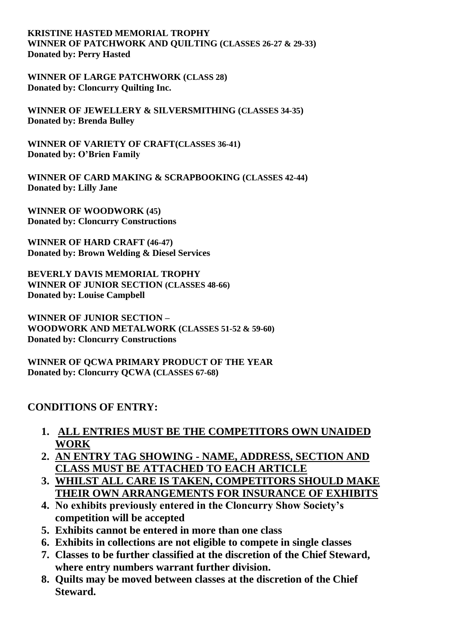**KRISTINE HASTED MEMORIAL TROPHY WINNER OF PATCHWORK AND QUILTING (CLASSES 26-27 & 29-33) Donated by: Perry Hasted**

**WINNER OF LARGE PATCHWORK (CLASS 28) Donated by: Cloncurry Quilting Inc.**

**WINNER OF JEWELLERY & SILVERSMITHING (CLASSES 34-35) Donated by: Brenda Bulley**

**WINNER OF VARIETY OF CRAFT(CLASSES 36-41) Donated by: O'Brien Family**

**WINNER OF CARD MAKING & SCRAPBOOKING (CLASSES 42-44) Donated by: Lilly Jane**

**WINNER OF WOODWORK (45) Donated by: Cloncurry Constructions**

**WINNER OF HARD CRAFT (46-47) Donated by: Brown Welding & Diesel Services**

**BEVERLY DAVIS MEMORIAL TROPHY WINNER OF JUNIOR SECTION (CLASSES 48-66) Donated by: Louise Campbell**

**WINNER OF JUNIOR SECTION – WOODWORK AND METALWORK (CLASSES 51-52 & 59-60) Donated by: Cloncurry Constructions**

**WINNER OF QCWA PRIMARY PRODUCT OF THE YEAR Donated by: Cloncurry QCWA (CLASSES 67-68)**

#### **CONDITIONS OF ENTRY:**

- **1. ALL ENTRIES MUST BE THE COMPETITORS OWN UNAIDED WORK**
- **2. AN ENTRY TAG SHOWING - NAME, ADDRESS, SECTION AND CLASS MUST BE ATTACHED TO EACH ARTICLE**
- **3. WHILST ALL CARE IS TAKEN, COMPETITORS SHOULD MAKE THEIR OWN ARRANGEMENTS FOR INSURANCE OF EXHIBITS**
- **4. No exhibits previously entered in the Cloncurry Show Society's competition will be accepted**
- **5. Exhibits cannot be entered in more than one class**
- **6. Exhibits in collections are not eligible to compete in single classes**
- **7. Classes to be further classified at the discretion of the Chief Steward, where entry numbers warrant further division.**
- **8. Quilts may be moved between classes at the discretion of the Chief Steward.**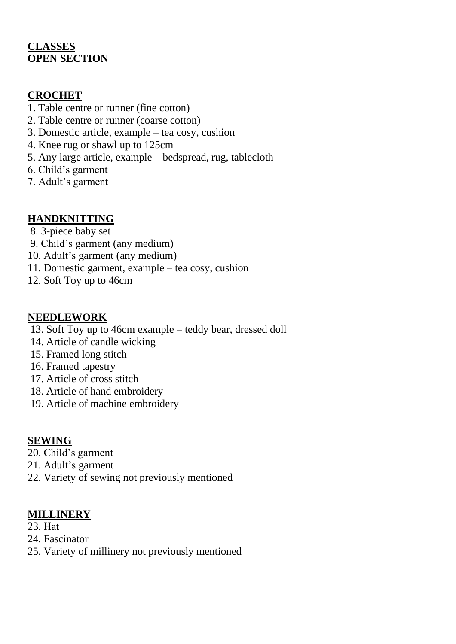## **CLASSES OPEN SECTION**

### **CROCHET**

- 1. Table centre or runner (fine cotton)
- 2. Table centre or runner (coarse cotton)
- 3. Domestic article, example tea cosy, cushion
- 4. Knee rug or shawl up to 125cm
- 5. Any large article, example bedspread, rug, tablecloth
- 6. Child's garment
- 7. Adult's garment

# **HANDKNITTING**

- 8. 3-piece baby set
- 9. Child's garment (any medium)
- 10. Adult's garment (any medium)
- 11. Domestic garment, example tea cosy, cushion
- 12. Soft Toy up to 46cm

## **NEEDLEWORK**

- 13. Soft Toy up to 46cm example teddy bear, dressed doll
- 14. Article of candle wicking
- 15. Framed long stitch
- 16. Framed tapestry
- 17. Article of cross stitch
- 18. Article of hand embroidery
- 19. Article of machine embroidery

# **SEWING**

- 20. Child's garment
- 21. Adult's garment
- 22. Variety of sewing not previously mentioned

### **MILLINERY**

- 23. Hat
- 24. Fascinator
- 25. Variety of millinery not previously mentioned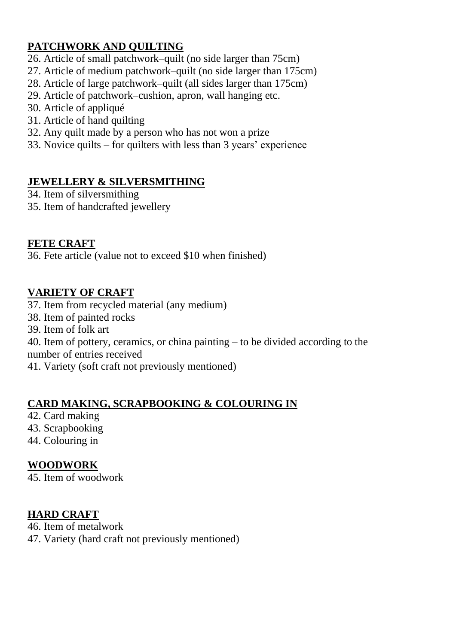# **PATCHWORK AND QUILTING**

- 26. Article of small patchwork–quilt (no side larger than 75cm)
- 27. Article of medium patchwork–quilt (no side larger than 175cm)
- 28. Article of large patchwork–quilt (all sides larger than 175cm)
- 29. Article of patchwork–cushion, apron, wall hanging etc.
- 30. Article of appliqué
- 31. Article of hand quilting
- 32. Any quilt made by a person who has not won a prize
- 33. Novice quilts for quilters with less than 3 years' experience

## **JEWELLERY & SILVERSMITHING**

34. Item of silversmithing

35. Item of handcrafted jewellery

## **FETE CRAFT**

36. Fete article (value not to exceed \$10 when finished)

## **VARIETY OF CRAFT**

- 37. Item from recycled material (any medium)
- 38. Item of painted rocks
- 39. Item of folk art

40. Item of pottery, ceramics, or china painting – to be divided according to the number of entries received

41. Variety (soft craft not previously mentioned)

# **CARD MAKING, SCRAPBOOKING & COLOURING IN**

- 42. Card making
- 43. Scrapbooking
- 44. Colouring in

# **WOODWORK**

45. Item of woodwork

### **HARD CRAFT**

- 46. Item of metalwork
- 47. Variety (hard craft not previously mentioned)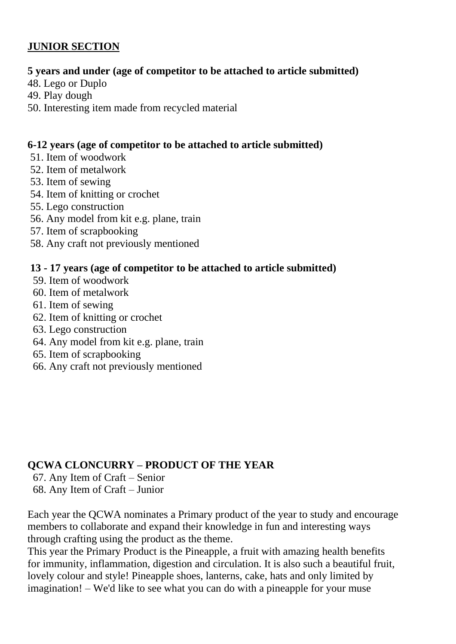# **JUNIOR SECTION**

#### **5 years and under (age of competitor to be attached to article submitted)**

- 48. Lego or Duplo
- 49. Play dough
- 50. Interesting item made from recycled material

#### **6-12 years (age of competitor to be attached to article submitted)**

- 51. Item of woodwork
- 52. Item of metalwork
- 53. Item of sewing
- 54. Item of knitting or crochet
- 55. Lego construction
- 56. Any model from kit e.g. plane, train
- 57. Item of scrapbooking
- 58. Any craft not previously mentioned

#### **13 - 17 years (age of competitor to be attached to article submitted)**

- 59. Item of woodwork
- 60. Item of metalwork
- 61. Item of sewing
- 62. Item of knitting or crochet
- 63. Lego construction
- 64. Any model from kit e.g. plane, train
- 65. Item of scrapbooking
- 66. Any craft not previously mentioned

#### **QCWA CLONCURRY – PRODUCT OF THE YEAR**

- 67. Any Item of Craft Senior
- 68. Any Item of Craft Junior

Each year the QCWA nominates a Primary product of the year to study and encourage members to collaborate and expand their knowledge in fun and interesting ways through crafting using the product as the theme.

This year the Primary Product is the Pineapple, a fruit with amazing health benefits for immunity, inflammation, digestion and circulation. It is also such a beautiful fruit, lovely colour and style! Pineapple shoes, lanterns, cake, hats and only limited by imagination! – We'd like to see what you can do with a pineapple for your muse